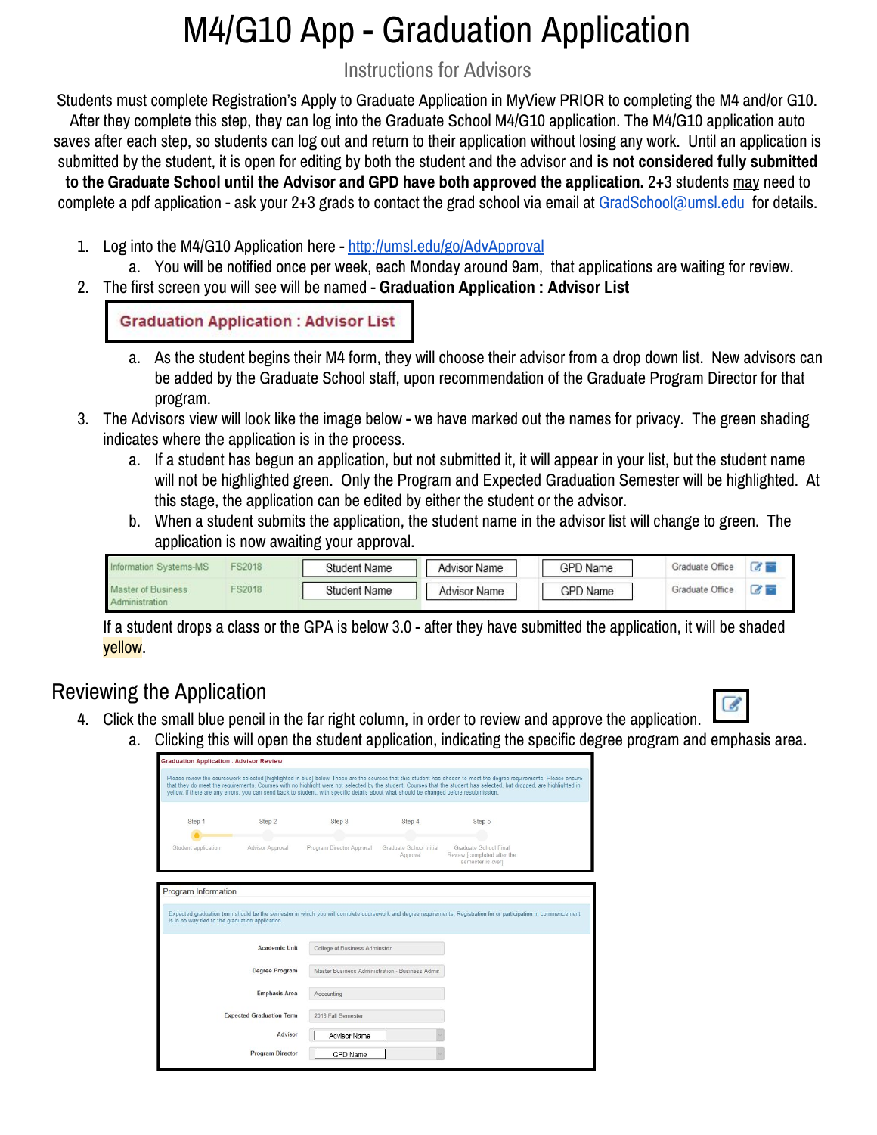# M4/G10 App - Graduation Application

Instructions for Advisors

Students must complete Registration's Apply to Graduate Application in MyView PRIOR to completing the M4 and/or G10. After they complete this step, they can log into the Graduate School M4/G10 application. The M4/G10 application auto saves after each step, so students can log out and return to their application without losing any work. Until an application is submitted by the student, it is open for editing by both the student and the advisor and **is not considered fully submitted**

**to the Graduate School until the Advisor and GPD have both approved the application.** 2+3 students may need to complete a pdf application - ask your 2+3 grads to contact the grad school via email at [GradSchool@umsl.edu](mailto:GradSchool@umsl.edu) for details.

- 1. Log into the M4/G10 Application here <http://umsl.edu/go/AdvApproval>
	- a. You will be notified once per week, each Monday around 9am, that applications are waiting for review.
- 2. The first screen you will see will be named **Graduation Application : Advisor List**

**Graduation Application: Advisor List** 

- a. As the student begins their M4 form, they will choose their advisor from a drop down list. New advisors can be added by the Graduate School staff, upon recommendation of the Graduate Program Director for that program.
- 3. The Advisors view will look like the image below we have marked out the names for privacy. The green shading indicates where the application is in the process.
	- a. If a student has begun an application, but not submitted it, it will appear in your list, but the student name will not be highlighted green. Only the Program and Expected Graduation Semester will be highlighted. At this stage, the application can be edited by either the student or the advisor.
	- b. When a student submits the application, the student name in the advisor list will change to green. The application is now awaiting your approval.

| rmation Systems-MS | FS2018        | <b>Student Name</b> | <b>Advisor Name</b> | <b>GPD Name</b> | Graduate Office | $\alpha$      |
|--------------------|---------------|---------------------|---------------------|-----------------|-----------------|---------------|
| Master of Business | <b>FS2018</b> | Student Name        | <b>Advisor Name</b> | <b>GPD Name</b> | Graduate Office | $\mathcal{L}$ |

If a student drops a class or the GPA is below 3.0 - after they have submitted the application, it will be shaded yellow.

## Reviewing the Application

- 4. Click the small blue pencil in the far right column, in order to review and approve the application.
	- a. Clicking this will open the student application, indicating the specific degree program and emphasis area.

| <b>Graduation Application: Advisor Review</b>                                                                                          |                                 |                                                                                   |                                     |                                                                                                                                                                                                                                                                                                                                                |  |
|----------------------------------------------------------------------------------------------------------------------------------------|---------------------------------|-----------------------------------------------------------------------------------|-------------------------------------|------------------------------------------------------------------------------------------------------------------------------------------------------------------------------------------------------------------------------------------------------------------------------------------------------------------------------------------------|--|
| yellow. If there are any errors, you can send back to student, with specific details about what should be changed before resubmission. |                                 |                                                                                   |                                     | Please review the coursework selected [highlighted in blue] below. These are the courses that this student has chosen to meet the degree requirements. Please ensure<br>that they do meet the requirements. Courses with no highlight were not selected by the student. Courses that the student has selected, but dropped, are highlighted in |  |
| Step 1                                                                                                                                 | Step 2                          | Step 3                                                                            | Step 4                              | Step 5                                                                                                                                                                                                                                                                                                                                         |  |
| Student application                                                                                                                    | Advisor Approval                | Program Director Approval                                                         | Graduate School Initial<br>Approval | Graduate School Final<br>Review [completed after the<br>semester is over]                                                                                                                                                                                                                                                                      |  |
| is in no way tied to the graduation application.                                                                                       | Academic Unit                   |                                                                                   |                                     | Expected graduation term should be the semester in which you will complete coursework and degree requirements. Registration for or participation in commencement                                                                                                                                                                               |  |
|                                                                                                                                        |                                 |                                                                                   |                                     |                                                                                                                                                                                                                                                                                                                                                |  |
|                                                                                                                                        | <b>Degree Program</b>           | College of Business Adminstrtn<br>Master Business Administration - Business Admir |                                     |                                                                                                                                                                                                                                                                                                                                                |  |
|                                                                                                                                        | <b>Emphasis Area</b>            | Accounting                                                                        |                                     |                                                                                                                                                                                                                                                                                                                                                |  |
|                                                                                                                                        | <b>Expected Graduation Term</b> | 2018 Fall Semester                                                                |                                     |                                                                                                                                                                                                                                                                                                                                                |  |
|                                                                                                                                        | Advisor                         | <b>Advisor Name</b>                                                               |                                     |                                                                                                                                                                                                                                                                                                                                                |  |
|                                                                                                                                        | <b>Program Director</b>         | <b>GPD Name</b>                                                                   |                                     |                                                                                                                                                                                                                                                                                                                                                |  |

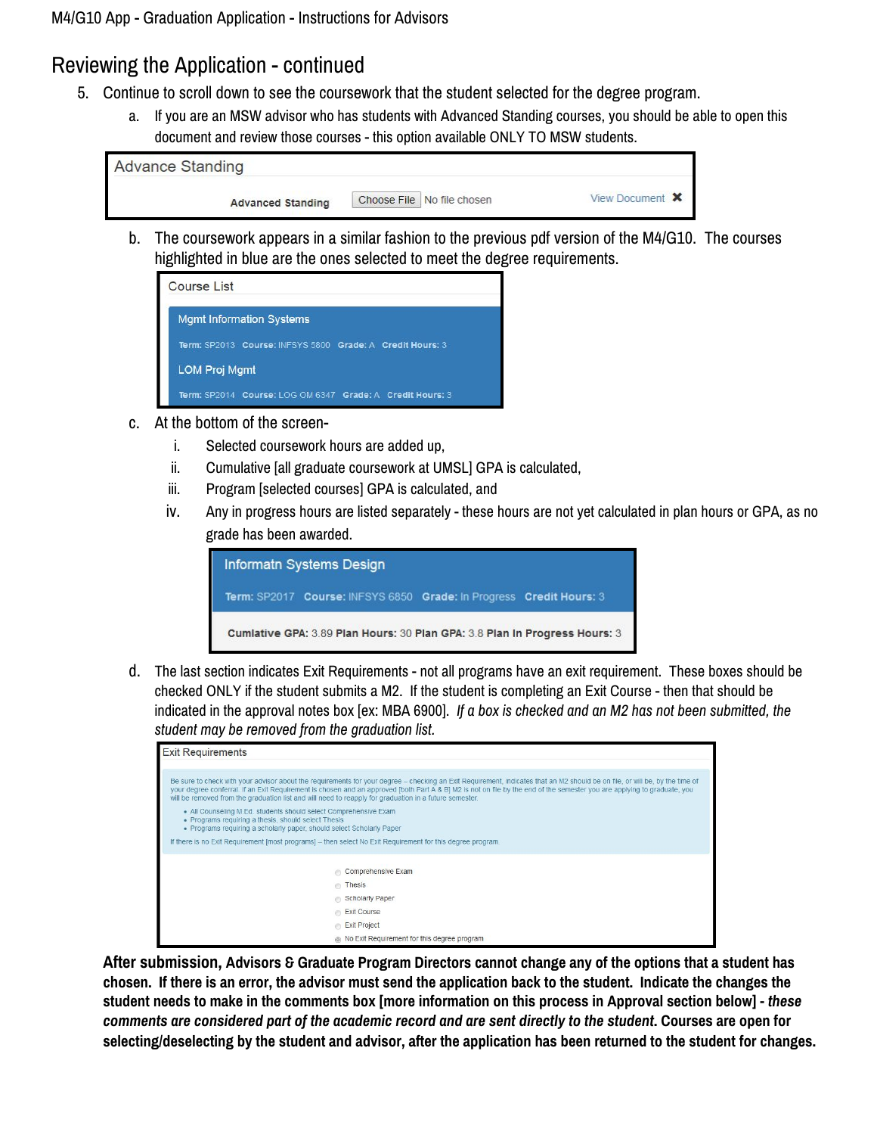#### Reviewing the Application - continued

- 5. Continue to scroll down to see the coursework that the student selected for the degree program.
	- a. If you are an MSW advisor who has students with Advanced Standing courses, you should be able to open this document and review those courses - this option available ONLY TO MSW students.

| <b>Advance Standing</b>  |                            |                        |
|--------------------------|----------------------------|------------------------|
| <b>Advanced Standing</b> | Choose File No file chosen | View Document <b>X</b> |

b. The coursework appears in a similar fashion to the previous pdf version of the M4/G10. The courses highlighted in blue are the ones selected to meet the degree requirements.

| Course List                                                |
|------------------------------------------------------------|
| <b>Mgmt Information Systems</b>                            |
| Term: SP2013 Course: INFSYS 5800 Grade: A Credit Hours: 3  |
| <b>LOM Proj Mgmt</b>                                       |
| Term: SP2014 Course: I OG OM 6347 Grade: A Credit Hours: 3 |

- c. At the bottom of the screen
	- i. Selected coursework hours are added up,
	- ii. Cumulative [all graduate coursework at UMSL] GPA is calculated,
	- iii. Program [selected courses] GPA is calculated, and
	- iv. Any in progress hours are listed separately these hours are not yet calculated in plan hours or GPA, as no grade has been awarded.



d. The last section indicates Exit Requirements - not all programs have an exit requirement. These boxes should be checked ONLY if the student submits a M2. If the student is completing an Exit Course - then that should be indicated in the approval notes box [ex: MBA 6900]. *If a box is checked and an M2 has not been submitted, the student may be removed from the graduation list.*

| <b>Exit Requirements</b>                                                                                                                                                                                                                                                                                                                                                                                                                                           |
|--------------------------------------------------------------------------------------------------------------------------------------------------------------------------------------------------------------------------------------------------------------------------------------------------------------------------------------------------------------------------------------------------------------------------------------------------------------------|
|                                                                                                                                                                                                                                                                                                                                                                                                                                                                    |
| Be sure to check with your advisor about the requirements for your degree – checking an Exit Requirement, indicates that an M2 should be on file, or will be, by the time of<br>your degree conferral. If an Exit Requirement is chosen and an approved [both Part A & B] M2 is not on file by the end of the semester you are applying to graduate, you<br>will be removed from the graduation list and will need to reapply for graduation in a future semester. |
| • All Counseling M.Ed. students should select Comprehensive Exam<br>• Programs requiring a thesis, should select Thesis<br>• Programs requiring a scholarly paper, should select Scholarly Paper                                                                                                                                                                                                                                                                   |
| If there is no Exit Requirement [most programs] - then select No Exit Requirement for this degree program.                                                                                                                                                                                                                                                                                                                                                         |
| Comprehensive Exam                                                                                                                                                                                                                                                                                                                                                                                                                                                 |
| Thesis                                                                                                                                                                                                                                                                                                                                                                                                                                                             |
| Scholarly Paper                                                                                                                                                                                                                                                                                                                                                                                                                                                    |
| Exit Course                                                                                                                                                                                                                                                                                                                                                                                                                                                        |
| Exit Project                                                                                                                                                                                                                                                                                                                                                                                                                                                       |
| . No Exit Requirement for this degree program                                                                                                                                                                                                                                                                                                                                                                                                                      |

After submission, Advisors & Graduate Program Directors cannot change any of the options that a student has chosen. If there is an error, the advisor must send the application back to the student. Indicate the changes the student needs to make in the comments box [more information on this process in Approval section below] - these comments are considered part of the academic record and are sent directly to the student. Courses are open for selecting/deselecting by the student and advisor, after the application has been returned to the student for changes.